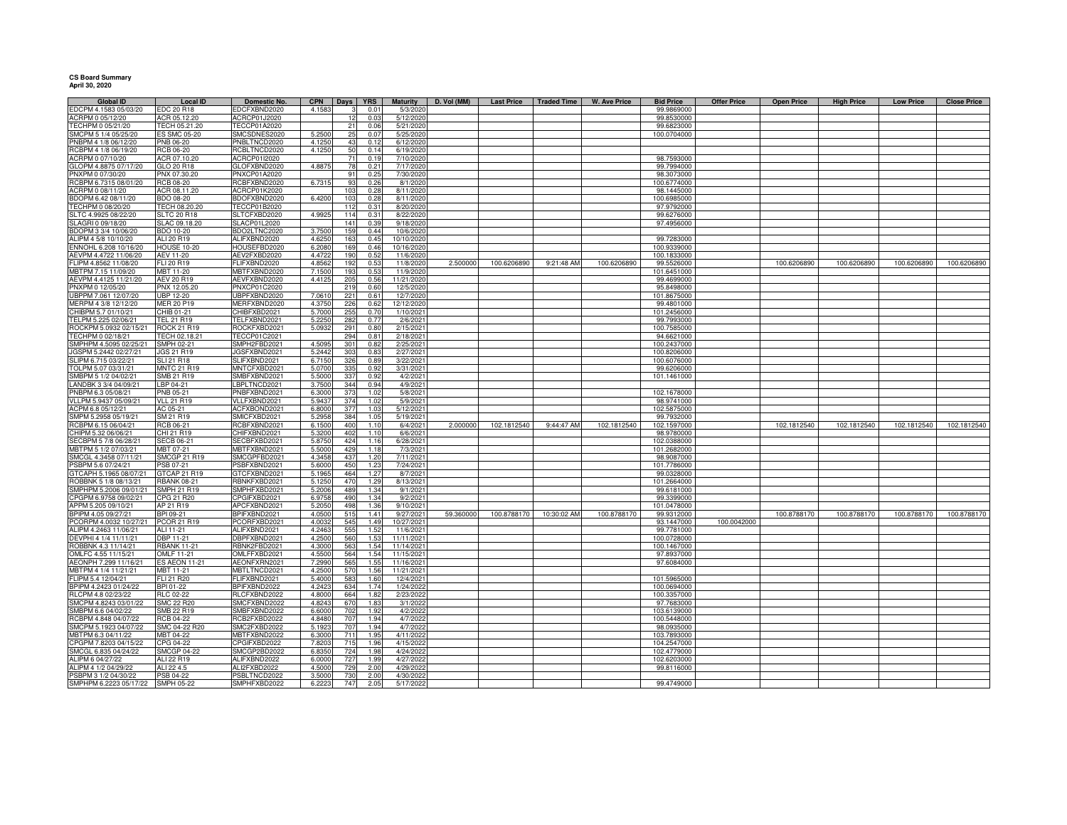## **CS Board Summary April 30, 2020**

| <b>Global ID</b>                             | Local ID                         | <b>Domestic No.</b>               | <b>CPN</b>       | Days I     | <b>YRS</b>    | Maturity               | D. Vol (MM) | <b>Last Price</b> | <b>Traded Time</b> | W. Ave Price | <b>Bid Price</b>          | <b>Offer Price</b> | <b>Open Price</b> | <b>High Price</b> | <b>Low Price</b> | <b>Close Price</b> |
|----------------------------------------------|----------------------------------|-----------------------------------|------------------|------------|---------------|------------------------|-------------|-------------------|--------------------|--------------|---------------------------|--------------------|-------------------|-------------------|------------------|--------------------|
| EDCPM 4.1583 05/03/20                        | EDC 20 R18                       | EDCFXBND2020                      | 4.158            | 3          | 0.01          | 5/3/2020               |             |                   |                    |              | 99.9869000                |                    |                   |                   |                  |                    |
| ACRPM 0 05/12/20<br>TECHPM 0 05/21/20        | ACR 05.12.20<br>TECH 05.21.20    | ACRCP01J2020<br>TECCP01A2020      |                  | 12<br>21   | 0.03<br>0.06  | 5/12/2020<br>5/21/2020 |             |                   |                    |              | 99.8530000<br>99.6823000  |                    |                   |                   |                  |                    |
|                                              |                                  |                                   |                  |            |               |                        |             |                   |                    |              |                           |                    |                   |                   |                  |                    |
| SMCPM 5 1/4 05/25/20<br>PNBPM 4 1/8 06/12/20 | <b>ES SMC 05-20</b><br>PNB 06-20 | SMCSDNES2020<br>PNBLTNCD2020      | 5.2500<br>4.1250 | 25<br>43   | 0.07<br>0.12  | 5/25/2020<br>6/12/2020 |             |                   |                    |              | 100.0704000               |                    |                   |                   |                  |                    |
| RCBPM 4 1/8 06/19/20                         | <b>RCB 06-20</b>                 | RCBLTNCD2020                      | 4.1250           | 50         | 0.14          | 6/19/2020              |             |                   |                    |              |                           |                    |                   |                   |                  |                    |
| ACRPM 0 07/10/20                             | ACR 07.10.20                     | ACRCP01I2020                      |                  | 71         | 0.19          | 7/10/2020              |             |                   |                    |              | 98.7593000                |                    |                   |                   |                  |                    |
| GLOPM 4.8875 07/17/20                        | GLO 20 R18                       | GLOFXBND2020                      | 4.8875           | 78         | $0.2^{\circ}$ | 7/17/2020              |             |                   |                    |              | 99.7994000                |                    |                   |                   |                  |                    |
| PNXPM 0 07/30/20                             | PNX 07.30.20                     | PNXCP01A2020                      |                  | 91         | 0.25          | 7/30/2020              |             |                   |                    |              | 98.3073000                |                    |                   |                   |                  |                    |
| RCBPM 6.7315 08/01/20                        | <b>RCB 08-20</b>                 | RCBFXBND2020                      | 6.7315           | 93         | 0.26          | 8/1/2020               |             |                   |                    |              | 100.6774000               |                    |                   |                   |                  |                    |
| ACRPM 0 08/11/20                             | ACR 08.11.20                     | ACRCP01K2020                      |                  | 103        | 0.28          | 8/11/2020              |             |                   |                    |              | 98.1445000                |                    |                   |                   |                  |                    |
| BDOPM 6.42 08/11/20                          | <b>BDO 08-20</b>                 | BDOFXBND2020                      | 6.4200           | 103        | 0.28          | 8/11/2020              |             |                   |                    |              | 100.6985000               |                    |                   |                   |                  |                    |
| TECHPM 0 08/20/20                            | TECH 08.20.20                    | TECCP01B2020                      |                  | 112        | 0.31          | 8/20/2020              |             |                   |                    |              | 97.9792000                |                    |                   |                   |                  |                    |
| SLTC 4.9925 08/22/20                         | <b>SLTC 20 R18</b>               | SLTCFXBD2020                      | 4.992            | 114        | 0.31          | 8/22/2020              |             |                   |                    |              | 99.6276000                |                    |                   |                   |                  |                    |
| SLAGRI 0 09/18/20                            | SLAC 09.18.20                    | SLACP01L2020                      |                  | 141        | 0.39          | 9/18/2020              |             |                   |                    |              | 97.4956000                |                    |                   |                   |                  |                    |
| BDOPM 3 3/4 10/06/20                         | BDO 10-20                        | BDO2LTNC2020                      | 3.7500           | 159        | 0.44          | 10/6/2020              |             |                   |                    |              |                           |                    |                   |                   |                  |                    |
| ALIPM 4 5/8 10/10/20                         | ALI 20 R19                       | ALIFXBND2020                      | 4.6250           | 163        | 0.45          | 10/10/2020             |             |                   |                    |              | 99.7283000                |                    |                   |                   |                  |                    |
| ENNOHL 6.208 10/16/20                        | <b>HOUSE 10-20</b>               | HOUSEFBD2020                      | 6.208            | 169        | 0.46          | 10/16/2020             |             |                   |                    |              | 100.9339000               |                    |                   |                   |                  |                    |
| AEVPM 4.4722 11/06/20                        | AEV 11-20                        | AEV2FXBD2020                      | 4.472            | 190        | 0.52          | 11/6/2020              |             |                   |                    |              | 100.1833000               |                    |                   |                   |                  |                    |
| FLIPM 4.8562 11/08/20                        | FLI 20 R19                       | FLIFXBND2020                      | 4.856            | 192        | 0.53          | 11/8/2020              | 2.500000    | 100.6206890       | 9:21:48 AM         | 100.6206890  | 99.5526000                |                    | 100.6206890       | 100.6206890       | 100.6206890      | 100.6206890        |
| MBTPM 7.15 11/09/20                          | MBT 11-20                        | MBTFXBND2020                      | 7.150            | 193        | 0.53          | 11/9/2020              |             |                   |                    |              | 101.6451000               |                    |                   |                   |                  |                    |
| AEVPM 4.4125 11/21/20                        | AEV 20 R19                       | AEVFXBND2020                      | 4.412            | 205        | 0.56          | 11/21/2020             |             |                   |                    |              | 99.4699000                |                    |                   |                   |                  |                    |
| PNXPM 0 12/05/20                             | PNX 12.05.20                     | PNXCP01C2020                      |                  | 219        | 0.60          | 12/5/2020              |             |                   |                    |              | 95.8498000                |                    |                   |                   |                  |                    |
| UBPPM 7.061 12/07/20                         | <b>UBP 12-20</b>                 | UBPFXBND2020                      | 7.061            | 221        | 0.6           | 12/7/2020              |             |                   |                    |              | 101.8675000               |                    |                   |                   |                  |                    |
| MERPM 4 3/8 12/12/20                         | MER 20 P19                       | MERFXBND2020                      | 4.3750           | 226        | 0.62          | 12/12/2020             |             |                   |                    |              | 99.4801000                |                    |                   |                   |                  |                    |
| CHIBPM 5.7 01/10/21                          | CHIB 01-21                       | CHIBFXBD2021                      | 5.7000           | 255        | 0.70          | 1/10/2021              |             |                   |                    |              | 101.2456000               |                    |                   |                   |                  |                    |
| TELPM 5.225 02/06/21                         | <b>TEL 21 R19</b>                | TELFXBND2021                      | 5.2250           | 282        | 0.77          | 2/6/2021               |             |                   |                    |              | 99.7993000                |                    |                   |                   |                  |                    |
| ROCKPM 5.0932 02/15/21                       | <b>ROCK 21 R19</b>               | ROCKFXBD2021                      | 5.093            | 291        | 0.80          | 2/15/2021              |             |                   |                    |              | 100.7585000               |                    |                   |                   |                  |                    |
| TECHPM 0 02/18/21                            | TECH 02.18.21                    | TECCP01C2021                      |                  | 294        | $0.8^{\circ}$ | 2/18/2021              |             |                   |                    |              | 94.6621000                |                    |                   |                   |                  |                    |
| SMPHPM 4.5095 02/25/21                       | <b>SMPH 02-21</b>                | SMPH2FBD2021                      | 4.509            | 301        | 0.82          | 2/25/2021              |             |                   |                    |              | 100.2437000               |                    |                   |                   |                  |                    |
| JGSPM 5.2442 02/27/21                        | JGS 21 R19                       | GSFXBND2021                       | 5.244            | 303        | 0.8           | 2/27/2021              |             |                   |                    |              | 100.8206000               |                    |                   |                   |                  |                    |
| SLIPM 6.715 03/22/21                         | SLI 21 R18                       | SLIFXBND2021                      | 6.7150           | 326        | 0.89          | 3/22/2021              |             |                   |                    |              | 100.6076000               |                    |                   |                   |                  |                    |
| TOLPM 5.07 03/31/21                          | <b>MNTC 21 R19</b>               | <b>MNTCFXBD2021</b>               | 5.0700           | 335        | 0.92          | 3/31/2021              |             |                   |                    |              | 99.6206000                |                    |                   |                   |                  |                    |
| SMBPM 5 1/2 04/02/21                         | SMB 21 R19                       | SMBFXBND2021                      | 5.5000           | 337        | 0.92          | 4/2/2021               |             |                   |                    |              | 101.1461000               |                    |                   |                   |                  |                    |
| LANDBK 3 3/4 04/09/21                        | LBP 04-21                        | LBPLTNCD2021                      | 3.7500           | 344        | 0.94          | 4/9/2021               |             |                   |                    |              |                           |                    |                   |                   |                  |                    |
| PNBPM 6.3 05/08/21                           | <b>PNB 05-21</b>                 | PNBFXBND2021                      | 6.300            | 373        | 1.02          | 5/8/2021               |             |                   |                    |              | 102.1678000               |                    |                   |                   |                  |                    |
| VLLPM 5.9437 05/09/21                        | <b>VLL 21 R19</b>                | VLLFXBND2021                      | 5.943            | 374        | 1.02          | 5/9/2021               |             |                   |                    |              | 98.9741000                |                    |                   |                   |                  |                    |
| ACPM 6.8 05/12/21                            | AC 05-21                         | ACFXBOND2021                      | 6.8000           | 377        | 1.03          | 5/12/2021              |             |                   |                    |              | 102.5875000               |                    |                   |                   |                  |                    |
| SMPM 5.2958 05/19/21                         | SM 21 R19                        | SMICFXBD2021                      | 5.295            | 384        | 1.05          | 5/19/2021              |             |                   |                    |              | 99.7932000                |                    |                   |                   |                  |                    |
| RCBPM 6.15 06/04/21<br>CHIPM 5.32 06/06/21   | RCB 06-21<br>CHI 21 R19          | <b>CBFXBND2021</b><br>HIFXBND2021 | 6.150<br>5.320   | 400<br>402 | 1.1(<br>1.10  | 6/4/2021<br>6/6/2021   | 2.000000    | 102.1812540       | 9:44:47 AM         | 102.1812540  | 102.1597000<br>98.9780000 |                    | 102.1812540       | 102.1812540       | 102.1812540      | 102.1812540        |
| SECBPM 5 7/8 06/28/21                        | <b>SECB 06-21</b>                | SECBFXBD2021                      | 5.875            | 424        | 1.16          | 6/28/2021              |             |                   |                    |              | 102.0388000               |                    |                   |                   |                  |                    |
| MBTPM 5 1/2 07/03/21                         | MBT 07-21                        | <b>MBTFXBND2021</b>               | 5.500            | 429        | 1.18          | 7/3/2021               |             |                   |                    |              | 101.2682000               |                    |                   |                   |                  |                    |
| SMCGL 4.3458 07/11/21                        | <b>SMCGP 21 R19</b>              | SMCGPFBD2021                      | 4.345            | 437        | 1.20          | 7/11/2021              |             |                   |                    |              | 98.9087000                |                    |                   |                   |                  |                    |
| PSBPM 5.6 07/24/21                           | PSB 07-21                        | SBFXBND2021                       | 5.600            | 450        | 1.23          | 7/24/2021              |             |                   |                    |              | 101.7786000               |                    |                   |                   |                  |                    |
| GTCAPH 5.1965 08/07/21                       | GTCAP 21 R19                     | GTCFXBND2021                      | 5.196            | 464        | 1.27          | 8/7/2021               |             |                   |                    |              | 99.0328000                |                    |                   |                   |                  |                    |
| ROBBNK 5 1/8 08/13/21                        | <b>RBANK 08-21</b>               | RBNKFXBD2021                      | 5.1250           | 470        | 1.29          | 8/13/2021              |             |                   |                    |              | 101.2664000               |                    |                   |                   |                  |                    |
| SMPHPM 5.2006 09/01/21                       | SMPH 21 R19                      | SMPHFXBD2021                      | 5.2006           | 489        | 1.34          | 9/1/2021               |             |                   |                    |              | 99.6181000                |                    |                   |                   |                  |                    |
| CPGPM 6.9758 09/02/21                        | CPG 21 R20                       | CPGIFXBD2021                      | 6.9758           | 490        | 1.34          | 9/2/2021               |             |                   |                    |              | 99.3399000                |                    |                   |                   |                  |                    |
| APPM 5.205 09/10/21                          | AP 21 R19                        | APCFXBND2021                      | 5.205            | 498        | 1.36          | 9/10/2021              |             |                   |                    |              | 101.0478000               |                    |                   |                   |                  |                    |
| BPIPM 4.05 09/27/21                          | BPI 09-21                        | BPIFXBND2021                      | 4.050            | 515        | 1.41          | 9/27/2021              | 59.360000   | 100.8788170       | 10:30:02 AM        | 100.8788170  | 99.9312000                |                    | 100.8788170       | 100.8788170       | 100.8788170      | 100.8788170        |
| PCORPM 4.0032 10/27/21                       | PCOR 21 R19                      | PCORFXBD2021                      | 4.003            | 545        | 1.49          | 10/27/2021             |             |                   |                    |              | 93.1447000                | 100.0042000        |                   |                   |                  |                    |
| ALIPM 4.2463 11/06/21                        | ALI 11-21                        | ALIFXBND2021                      | 4.246            | 555        | 1.52          | 11/6/2021              |             |                   |                    |              | 99.7781000                |                    |                   |                   |                  |                    |
| DEVPHI 4 1/4 11/11/21                        | DBP 11-21                        | DBPFXBND2021                      | 4.2500           | 560        | 1.53          | 11/11/2021             |             |                   |                    |              | 100.0728000               |                    |                   |                   |                  |                    |
| ROBBNK 4.3 11/14/21                          | <b>RBANK 11-21</b>               | RBNK2FBD2021                      | 4.3000           | 563        | 1.54          | 11/14/2021             |             |                   |                    |              | 100.1467000               |                    |                   |                   |                  |                    |
| OMLFC 4.55 11/15/21                          | <b>OMLF 11-21</b>                | OMLFFXBD2021                      | 4.550            | 564        | 1.54          | 11/15/2021             |             |                   |                    |              | 97.8937000                |                    |                   |                   |                  |                    |
| AEONPH 7.299 11/16/21                        | <b>ES AEON 11-21</b>             | AEONFXRN2021                      | 7.2990           | 565        | 1.55          | 11/16/2021             |             |                   |                    |              | 97.6084000                |                    |                   |                   |                  |                    |
| MBTPM 4 1/4 11/21/21                         | MBT 11-21                        | MBTLTNCD2021                      | 4.250            | 570        | 1.56          | 11/21/2021             |             |                   |                    |              |                           |                    |                   |                   |                  |                    |
| FLIPM 5.4 12/04/21                           | <b>FLI 21 R20</b>                | FLIFXBND2021                      | 5.4000           | 583        | 1.60          | 12/4/2021              |             |                   |                    |              | 101.5965000               |                    |                   |                   |                  |                    |
| BPIPM 4.2423 01/24/22                        | BPI 01-22                        | BPIFXBND2022                      | 4.242            | 634        | 1.74          | 1/24/2022              |             |                   |                    |              | 100.0694000               |                    |                   |                   |                  |                    |
| RLCPM 4.8 02/23/22                           | <b>RLC 02-22</b>                 | RLCFXBND2022                      | 4.800            | 664        | 1.82          | 2/23/2022              |             |                   |                    |              | 100.3357000               |                    |                   |                   |                  |                    |
| SMCPM 4.8243 03/01/22                        | <b>SMC 22 R20</b>                | SMCFXBND2022                      | 4.824            | 670        | 1.83          | 3/1/2022               |             |                   |                    |              | 97.7683000                |                    |                   |                   |                  |                    |
| SMBPM 6.6 04/02/22                           | <b>SMB 22 R19</b>                | SMBFXBND2022                      | 6.600            | 702        | 1.92          | 4/2/2022               |             |                   |                    |              | 103.6139000               |                    |                   |                   |                  |                    |
| RCBPM 4.848 04/07/22                         | <b>RCB 04-22</b>                 | RCB2FXBD2022                      | 4.848            | 707        | 1.94          | 4/7/2022               |             |                   |                    |              | 100.5448000               |                    |                   |                   |                  |                    |
| SMCPM 5.1923 04/07/22                        | SMC 04-22 R20                    | SMC2FXBD2022                      | 5.192            | 707        | 1.94          | 4/7/2022               |             |                   |                    |              | 98.0935000                |                    |                   |                   |                  |                    |
| MBTPM 6.3 04/11/22                           | MBT 04-22                        | MBTFXBND2022                      | 6.300            | 711        | 1.95          | 4/11/2022              |             |                   |                    |              | 103.7893000               |                    |                   |                   |                  |                    |
| CPGPM 7.8203 04/15/22                        | CPG 04-22                        | CPGIFXBD2022                      | 7.820            | 715        | 1.96          | 4/15/2022              |             |                   |                    |              | 104.2547000               |                    |                   |                   |                  |                    |
| SMCGL 6.835 04/24/22<br>ALIPM 6 04/27/22     | <b>SMCGP 04-22</b>               | SMCGP2BD2022                      | 6.835            | 724        | 1.98          | 4/24/2022              |             |                   |                    |              | 102.4779000               |                    |                   |                   |                  |                    |
|                                              | ALI 22 R19                       | ALIFXBND2022                      | 6.0000<br>4.5000 | 727<br>729 | 1.99          | 4/27/2022<br>4/29/2022 |             |                   |                    |              | 102.6203000               |                    |                   |                   |                  |                    |
| ALIPM 4 1/2 04/29/22<br>PSBPM 3 1/2 04/30/22 | ALI 22 4.5<br>PSB 04-22          | ALI2FXBD2022<br>PSBLTNCD2022      | 3.500            | 730        | 2.00<br>2.00  | 4/30/2022              |             |                   |                    |              | 99.8116000                |                    |                   |                   |                  |                    |
| SMPHPM 6.2223 05/17/22                       | SMPH 05-22                       | SMPHFXBD2022                      | 6.222            | 747        | 2.05          | 5/17/2022              |             |                   |                    |              | 99.4749000                |                    |                   |                   |                  |                    |
|                                              |                                  |                                   |                  |            |               |                        |             |                   |                    |              |                           |                    |                   |                   |                  |                    |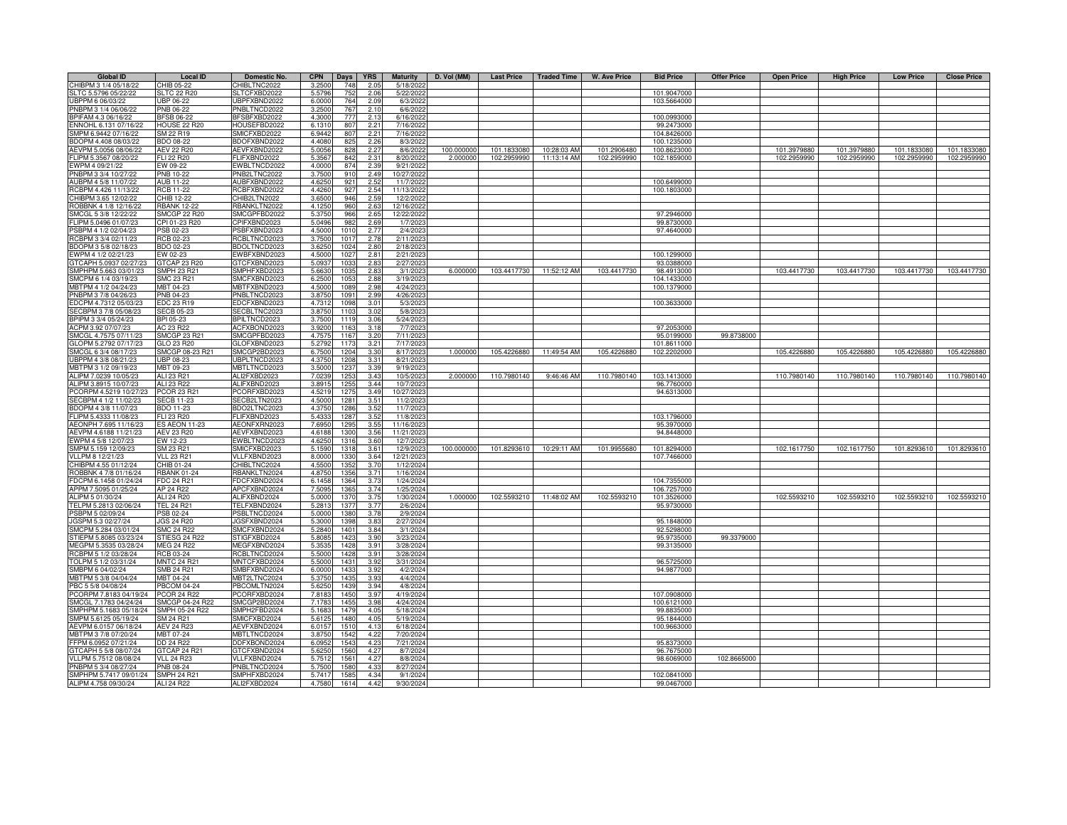| <b>Global ID</b>                              | <b>Local ID</b>                  | <b>Domestic No.</b>          | <b>CPN</b>       | Days             | <b>YRS</b>   | <b>Maturity</b>        | D. Vol (MM) | <b>Last Price</b>          | <b>Traded Time</b>         | <b>W. Ave Price</b>        | <b>Bid Price</b>           | <b>Offer Price</b> | <b>Open Price</b> | <b>High Price</b>          | <b>Low Price</b>           | <b>Close Price</b>         |
|-----------------------------------------------|----------------------------------|------------------------------|------------------|------------------|--------------|------------------------|-------------|----------------------------|----------------------------|----------------------------|----------------------------|--------------------|-------------------|----------------------------|----------------------------|----------------------------|
| CHIBPM 3 1/4 05/18/22                         | CHIB 05-22                       | CHIBLTNC2022                 | 3.2500           | 748              | 2.05         | 5/18/2022              |             |                            |                            |                            |                            |                    |                   |                            |                            |                            |
| SLTC 5.5796 05/22/22                          | <b>SLTC 22 R20</b>               | SLTCFXBD2022                 | 5.5796           | 752              | 2.06         | 5/22/2022              |             |                            |                            |                            | 101.9047000                |                    |                   |                            |                            |                            |
| UBPPM 6 06/03/22                              | UBP 06-22                        | UBPFXBND2022                 | 6.0000           | 764              | 2.09         | 6/3/2022               |             |                            |                            |                            | 103.5664000                |                    |                   |                            |                            |                            |
| PNBPM 3 1/4 06/06/22                          | PNB 06-22                        | PNBLTNCD2022                 | 3.2500           | 767              | 2.10         | 6/6/2022               |             |                            |                            |                            |                            |                    |                   |                            |                            |                            |
| BPIFAM 4.3 06/16/22                           | <b>BFSB 06-22</b>                | BFSBFXBD2022                 | 4.3000           | 777              | 2.13         | 6/16/2022              |             |                            |                            |                            | 100.0993000                |                    |                   |                            |                            |                            |
| ENNOHL 6.131 07/16/22                         | <b>HOUSE 22 R20</b>              | HOUSEFBD2022                 | 6.1310           | 807              | 2.21         | 7/16/202               |             |                            |                            |                            | 99.2473000                 |                    |                   |                            |                            |                            |
| SMPM 6.9442 07/16/22                          | SM 22 R19                        | SMICFXBD2022                 | 6.9442           | 807              | 2.21         | 7/16/2022              |             |                            |                            |                            | 104.8426000                |                    |                   |                            |                            |                            |
| BDOPM 4.408 08/03/22<br>AEVPM 5.0056 08/06/22 | BDO 08-22<br>AEV 22 R20          | BDOFXBND2022<br>AEVFXBND2022 | 4.4080<br>5.005  | 825              | 2.26         | 8/3/2022<br>8/6/2022   | 100.000000  |                            |                            |                            | 100.1235000<br>100.8623000 |                    | 101.3979880       |                            |                            |                            |
| FLIPM 5.3567 08/20/22                         | <b>FLI 22 R20</b>                | FLIFXBND2022                 | 5.356            | 828<br>842       | 2.27<br>2.31 | 8/20/2022              | 2.000000    | 101.1833080<br>102.2959990 | 10:28:03 AM<br>11:13:14 AM | 101.2906480<br>102.2959990 | 102.1859000                |                    | 102.2959990       | 101.3979880<br>102.2959990 | 101.1833080<br>102.2959990 | 101.1833080<br>102.2959990 |
| EWPM 4 09/21/22                               | EW 09-22                         | EWBLTNCD2022                 | 4.0000           | 874              | 2.39         | 9/21/202               |             |                            |                            |                            |                            |                    |                   |                            |                            |                            |
| PNBPM 3 3/4 10/27/22                          | PNB 10-22                        | PNB2LTNC2022                 | 3.7500           | 910              | 2.49         | 10/27/202              |             |                            |                            |                            |                            |                    |                   |                            |                            |                            |
| AUBPM 4 5/8 11/07/22                          | AUB 11-22                        | AUBFXBND2022                 | 4.6250           | 921              | 2.52         | 11/7/2022              |             |                            |                            |                            | 100.6499000                |                    |                   |                            |                            |                            |
| CBPM 4.426 11/13/22                           | <b>RCB 11-22</b>                 | RCBFXBND2022                 | 4.4260           | 927              | 2.54         | 11/13/2022             |             |                            |                            |                            | 100.1803000                |                    |                   |                            |                            |                            |
| HIBPM 3.65 12/02/22                           | CHIB 12-22                       | CHIB2LTN2022                 | 3.6500           | 946              | 2.59         | 12/2/2022              |             |                            |                            |                            |                            |                    |                   |                            |                            |                            |
| <b>OBBNK 4 1/8 12/16/22</b>                   | <b>RBANK 12-22</b>               | RBANKLTN2022                 | 4.1250           | 960              | 2.63         | 12/16/2022             |             |                            |                            |                            |                            |                    |                   |                            |                            |                            |
| MCGL 5 3/8 12/22/22                           | <b>SMCGP 22 R20</b>              | SMCGPFBD2022                 | 5.3750           | 966              | 2.65         | 12/22/2022             |             |                            |                            |                            | 97.2946000                 |                    |                   |                            |                            |                            |
| FLIPM 5.0496 01/07/23                         | CPI 01-23 R20                    | CPIFXBND2023                 | 5.049            | 982              | 2.69         | 1/7/2023               |             |                            |                            |                            | 99.8730000                 |                    |                   |                            |                            |                            |
| SBPM 4 1/2 02/04/23                           | PSB 02-23                        | PSBFXBND2023                 | 4.500            | 101              | 2.77         | 2/4/2023               |             |                            |                            |                            | 97.4640000                 |                    |                   |                            |                            |                            |
| CBPM 3 3/4 02/11/23                           | <b>RCB 02-23</b>                 | RCBLTNCD2023                 | 3.750            | 101              | 2.78         | 2/11/2023              |             |                            |                            |                            |                            |                    |                   |                            |                            |                            |
| DOPM 3 5/8 02/18/23                           | BDO 02-23                        | BDOLTNCD2023                 | 3.625            | 102 <sub>1</sub> | 2.80         | 2/18/202               |             |                            |                            |                            |                            |                    |                   |                            |                            |                            |
| WPM 4 1/2 02/21/23                            | EW 02-23                         | EWBFXBND2023                 | 4.500            | 102              | 2.81         | 2/21/202               |             |                            |                            |                            | 100.1299000                |                    |                   |                            |                            |                            |
| TCAPH 5.0937 02/27/23                         | GTCAP 23 R20                     | GTCFXBND2023                 | 5.093            | 103              | 2.83         | 2/27/2023              |             |                            |                            |                            | 93.0388000                 |                    |                   |                            |                            |                            |
| SMPHPM 5.663 03/01/23                         | SMPH 23 R21                      | SMPHFXBD2023                 | 5.663            | 103              | 2.83         | 3/1/202                | 6.000000    | 103.4417730                | 11:52:12 AM                | 103.4417730                | 98.4913000                 |                    | 103.4417730       | 103.4417730                | 103.4417730                | 103.4417730                |
| SMCPM 6 1/4 03/19/23                          | SMC 23 R21                       | SMCFXBND2023                 | 6.250            | 105              | 2.88         | 3/19/2023              |             |                            |                            |                            | 104.1433000                |                    |                   |                            |                            |                            |
| MBTPM 4 1/2 04/24/23                          | MBT 04-23                        | MBTFXBND2023                 | 4.500            | 1089             | 2.98         | 4/24/2023              |             |                            |                            |                            | 100.1379000                |                    |                   |                            |                            |                            |
| PNBPM 3 7/8 04/26/23                          | PNB 04-23                        | PNBLTNCD2023                 | 3.8750           | 1091             | 2.99         | 4/26/2023              |             |                            |                            |                            |                            |                    |                   |                            |                            |                            |
| EDCPM 4.7312 05/03/23                         | EDC 23 R19                       | EDCFXBND2023                 | 4.731            | 1098<br>1103     | 3.01         | 5/3/2023               |             |                            |                            |                            | 100.3633000                |                    |                   |                            |                            |                            |
| SECBPM 3 7/8 05/08/23<br>BPIPM 3 3/4 05/24/23 | SECB 05-23<br>BPI 05-23          | SECBLTNC2023<br>BPILTNCD2023 | 3.8750<br>3.7500 | 111              | 3.02<br>3.06 | 5/8/2023<br>5/24/202   |             |                            |                            |                            |                            |                    |                   |                            |                            |                            |
| ACPM 3.92 07/07/23                            | AC 23 R22                        | ACFXBOND2023                 | 3.920            | 116              | 3.18         | 7/7/202                |             |                            |                            |                            | 97.2053000                 |                    |                   |                            |                            |                            |
| SMCGL 4.7575 07/11/23                         | SMCGP 23 R21                     | SMCGPFBD2023                 | 4.757            | 116              | 3.20         | 7/11/202               |             |                            |                            |                            | 95.0199000                 | 99.8738000         |                   |                            |                            |                            |
| GLOPM 5.2792 07/17/23                         | GLO 23 R20                       | GLOFXBND2023                 | 5.279            | 1173             | 3.21         | 7/17/2023              |             |                            |                            |                            | 101.8611000                |                    |                   |                            |                            |                            |
| MCGL 6 3/4 08/17/23                           | SMCGP 08-23 R21                  | SMCGP2BD2023                 | 6.750            | 1204             | 3.3C         | 8/17/202               | 1.000000    | 105.4226880                | 11:49:54 AM                | 105.4226880                | 102.2202000                |                    | 105.4226880       | 105.4226880                | 105.4226880                | 105.4226880                |
| UBPPM 4 3/8 08/21/23                          | JBP 08-23                        | UBPLTNCD2023                 | 4.375            | 1208             | 3.31         | 8/21/202               |             |                            |                            |                            |                            |                    |                   |                            |                            |                            |
| MBTPM 3 1/2 09/19/23                          | MBT 09-23                        | MBTLTNCD2023                 | 3.500            | 123              | 3.39         | 9/19/202               |             |                            |                            |                            |                            |                    |                   |                            |                            |                            |
| ALIPM 7.0239 10/05/23                         | ALI 23 R21                       | ALI2FXBD2023                 | 7.023            | 125              | 3.43         | 10/5/202               | 2.000000    | 110.7980140                | 9:46:46 AM                 | 110.7980140                | 103.1413000                |                    | 110.7980140       | 110.7980140                | 110.7980140                | 110.7980140                |
| ALIPM 3.8915 10/07/23                         | ALI 23 R22                       | ALIFXBND2023                 | 3.891            | 125              | 3.44         | 10/7/202               |             |                            |                            |                            | 96.7760000                 |                    |                   |                            |                            |                            |
| CORPM 4.5219 10/27/23                         | <b>PCOR 23 R21</b>               | PCORFXBD2023                 | 4.521            | 127              | 3.49         | 10/27/202              |             |                            |                            |                            | 94.6313000                 |                    |                   |                            |                            |                            |
| ECBPM 4 1/2 11/02/23                          | <b>SECB 11-23</b>                | SECB2LTN2023                 | 4.5000           | 1281             | 3.51         | 11/2/2023              |             |                            |                            |                            |                            |                    |                   |                            |                            |                            |
| DOPM 4 3/8 11/07/23                           | BDO 11-23                        | BDO2LTNC2023                 | 4.3750           | 1286             | 3.52         | 11/7/2023              |             |                            |                            |                            |                            |                    |                   |                            |                            |                            |
| FLIPM 5.4333 11/08/23                         | FLI 23 R20                       | FLIFXBND2023                 | 5.4333           | 1287             | 3.52         | 11/8/2023              |             |                            |                            |                            | 103.1796000                |                    |                   |                            |                            |                            |
| AEONPH 7.695 11/16/23                         | <b>ES AEON 11-23</b>             | AEONFXRN2023                 | 7.695            | 1295             | 3.55         | 11/16/2023             |             |                            |                            |                            | 95.3970000                 |                    |                   |                            |                            |                            |
| AEVPM 4.6188 11/21/23                         | <b>AEV 23 R20</b>                | AEVFXBND2023                 | 4.618            | 1300             | 3.56         | 11/21/202              |             |                            |                            |                            | 94.8448000                 |                    |                   |                            |                            |                            |
| WPM 4 5/8 12/07/23                            | EW 12-23                         | EWBLTNCD2023                 | 4.625            | 131              | 3.60         | 12/7/2023              |             |                            |                            |                            |                            |                    |                   |                            |                            |                            |
| MPM 5.159 12/09/23                            | SM 23 R21                        | SMICFXBD2023                 | 5.159            | 131              | 3.61         | 12/9/2023              | 100.000000  | 101.8293610                | 10:29:11 AM                | 101.9955680                | 101.8294000                |                    | 102.1617750       | 102.1617750                | 101.8293610                | 101.8293610                |
| VLLPM 8 12/21/23                              | <b>VLL 23 R21</b>                | VLLFXBND2023                 | 8.000            | 133              | 3.64         | 12/21/202              |             |                            |                            |                            | 107.7466000                |                    |                   |                            |                            |                            |
| HIBPM 4.55 01/12/24<br>OBBNK 4 7/8 01/16/24   | CHIB 01-24<br><b>RBANK 01-24</b> | CHIBLTNC2024                 | 4.550            | 135<br>1356      | 3.7<br>3.71  | 1/12/2024              |             |                            |                            |                            |                            |                    |                   |                            |                            |                            |
| DCPM 6.1458 01/24/24                          | FDC 24 R21                       | RBANKLTN2024<br>FDCFXBND2024 | 4.875<br>6.145   | 1364             | 3.7          | 1/16/2024<br>1/24/2024 |             |                            |                            |                            | 104.7355000                |                    |                   |                            |                            |                            |
| APPM 7.5095 01/25/24                          | AP 24 R22                        | APCFXBND2024                 | 7.509            | 1365             | 3.74         | 1/25/2024              |             |                            |                            |                            | 106.7257000                |                    |                   |                            |                            |                            |
| ALIPM 5 01/30/24                              | ALI 24 R20                       | ALIFXBND2024                 | 5.0000           | 1370             | 3.75         | 1/30/2024              | 1.000000    |                            | 102.5593210 11:48:02 AM    | 102.5593210                | 101.3526000                |                    | 102.5593210       | 102.5593210                | 102.5593210                | 102.5593210                |
| TELPM 5.2813 02/06/24                         | TEL 24 R21                       | TELFXBND2024                 | 5.281            | 1377             | 3.77         | 2/6/2024               |             |                            |                            |                            | 95.9730000                 |                    |                   |                            |                            |                            |
| SBPM 5 02/09/24                               | PSB 02-24                        | PSBLTNCD2024                 | 5.0000           | 1380             | 3.78         | 2/9/2024               |             |                            |                            |                            |                            |                    |                   |                            |                            |                            |
| JGSPM 5.3 02/27/24                            | <b>JGS 24 R20</b>                | JGSFXBND2024                 | 5.3000           | 1398             | 3.83         | 2/27/2024              |             |                            |                            |                            | 95.1848000                 |                    |                   |                            |                            |                            |
| SMCPM 5.284 03/01/24                          | SMC 24 R22                       | SMCFXBND2024                 | 5.284            | 1401             | 3.84         | 3/1/2024               |             |                            |                            |                            | 92.5298000                 |                    |                   |                            |                            |                            |
| STIEPM 5.8085 03/23/24                        | STIESG 24 R22                    | STIGFXBD2024                 | 5.808            | 1423             | 3.90         | 3/23/2024              |             |                            |                            |                            | 95.9735000                 | 99.3379000         |                   |                            |                            |                            |
| MEGPM 5.3535 03/28/24                         | <b>MEG 24 R22</b>                | MEGFXBND2024                 | 5.353            | 1428             | 3.91         | 3/28/2024              |             |                            |                            |                            | 99.3135000                 |                    |                   |                            |                            |                            |
| RCBPM 5 1/2 03/28/24                          | RCB 03-24                        | RCBLTNCD2024                 | 5.500            | 1428             | 3.91         | 3/28/2024              |             |                            |                            |                            |                            |                    |                   |                            |                            |                            |
| TOLPM 5 1/2 03/31/24                          | <b>MNTC 24 R21</b>               | MNTCFXBD2024                 | 5.500            | 1431             | 3.92         | 3/31/2024              |             |                            |                            |                            | 96.5725000                 |                    |                   |                            |                            |                            |
| SMBPM 6 04/02/24                              | SMB 24 R21                       | SMBFXBND2024                 | 6.0000           | 1433             | 3.92         | 4/2/2024               |             |                            |                            |                            | 94.9877000                 |                    |                   |                            |                            |                            |
| MBTPM 5 3/8 04/04/24                          | <b>MBT 04-24</b>                 | MBT2LTNC2024                 | 5.375            | 1435             | 3.93         | 4/4/2024               |             |                            |                            |                            |                            |                    |                   |                            |                            |                            |
| PBC 5 5/8 04/08/24                            | <b>PBCOM 04-24</b>               | PBCOMLTN2024                 | 5.625            | 143              | 3.94         | 4/8/2024               |             |                            |                            |                            |                            |                    |                   |                            |                            |                            |
| CORPM 7.8183 04/19/24                         | <b>PCOR 24 R22</b>               | PCORFXBD2024                 | 7.818            | 1450             | 3.97         | 4/19/2024              |             |                            |                            |                            | 107.0908000                |                    |                   |                            |                            |                            |
| SMCGL 7.1783 04/24/24                         | SMCGP 04-24 R22                  | SMCGP2BD2024                 | 7.178            | 1455             | 3.98         | 4/24/2024              |             |                            |                            |                            | 100.6121000                |                    |                   |                            |                            |                            |
| SMPHPM 5.1683 05/18/24                        | SMPH 05-24 R22                   | SMPH2FBD2024                 | 5.168            | 1479             | 4.05         | 5/18/2024              |             |                            |                            |                            | 99.8835000                 |                    |                   |                            |                            |                            |
| SMPM 5.6125 05/19/24                          | SM 24 R21                        | SMICFXBD2024                 | 5.612            | 1480             | 4.05         | 5/19/2024              |             |                            |                            |                            | 95.1844000                 |                    |                   |                            |                            |                            |
| AEVPM 6.0157 06/18/24                         | <b>AEV 24 R23</b>                | AEVFXBND2024                 | 6.015            | 1510             | 4.13         | 6/18/2024              |             |                            |                            |                            | 100.9663000                |                    |                   |                            |                            |                            |
| MBTPM 3 7/8 07/20/24                          | MBT 07-24<br>DD 24 R22           | MBTLTNCD2024<br>DDFXBOND2024 | 3.875            | 1542<br>154      | 4.22<br>4.23 | 7/20/2024              |             |                            |                            |                            |                            |                    |                   |                            |                            |                            |
| FFPM 6.0952 07/21/24<br>GTCAPH 5 5/8 08/07/24 | GTCAP 24 R21                     | GTCFXBND2024                 | 6.095<br>5.625   | 1560             | 4.27         | 7/21/2024<br>8/7/2024  |             |                            |                            |                            | 95.8373000<br>96.7675000   |                    |                   |                            |                            |                            |
| VLLPM 5.7512 08/08/24                         | <b>VLL 24 R23</b>                | VLLFXBND2024                 | 5.751            | 156              | 4.2          | 8/8/2024               |             |                            |                            |                            | 98.6069000                 | 102.8665000        |                   |                            |                            |                            |
| NBPM 5 3/4 08/27/24                           | <b>PNB 08-24</b>                 | PNBLTNCD2024                 | 5.750            | 1580             | 4.3          | 8/27/2024              |             |                            |                            |                            |                            |                    |                   |                            |                            |                            |
| SMPHPM 5.7417 09/01/24                        | <b>SMPH 24 R21</b>               | SMPHFXBD2024                 | 5.741            | 1585             | 4.34         | 9/1/2024               |             |                            |                            |                            | 102.0841000                |                    |                   |                            |                            |                            |
| ALIPM 4.758 09/30/24                          | ALI 24 R22                       | ALI2FXBD2024                 | 4.7580           | 161              | 4.42         | 9/30/2024              |             |                            |                            |                            | 99.0467000                 |                    |                   |                            |                            |                            |
|                                               |                                  |                              |                  |                  |              |                        |             |                            |                            |                            |                            |                    |                   |                            |                            |                            |